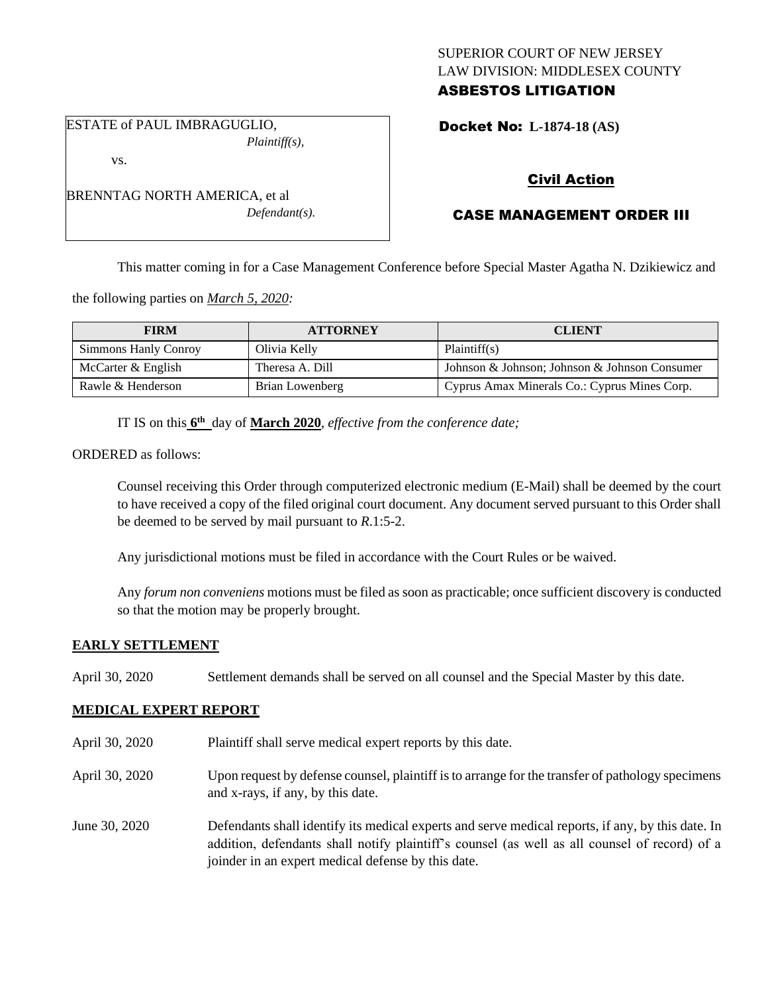# SUPERIOR COURT OF NEW JERSEY LAW DIVISION: MIDDLESEX COUNTY ASBESTOS LITIGATION

ESTATE of PAUL IMBRAGUGLIO, *Plaintiff(s),*

BRENNTAG NORTH AMERICA, et al

vs.

Docket No: **L-1874-18 (AS)** 

# Civil Action

# CASE MANAGEMENT ORDER III

This matter coming in for a Case Management Conference before Special Master Agatha N. Dzikiewicz and

the following parties on *March 5, 2020:*

| <b>FIRM</b>          | <b>ATTORNEY</b> | <b>CLIENT</b>                                 |
|----------------------|-----------------|-----------------------------------------------|
| Simmons Hanly Conroy | Olivia Kelly    | Plaintiff(s)                                  |
| McCarter & English   | Theresa A. Dill | Johnson & Johnson; Johnson & Johnson Consumer |
| Rawle & Henderson    | Brian Lowenberg | Cyprus Amax Minerals Co.: Cyprus Mines Corp.  |

IT IS on this  $6<sup>th</sup>$  day of **March 2020**, *effective from the conference date*;

*Defendant(s).*

ORDERED as follows:

Counsel receiving this Order through computerized electronic medium (E-Mail) shall be deemed by the court to have received a copy of the filed original court document. Any document served pursuant to this Order shall be deemed to be served by mail pursuant to *R*.1:5-2.

Any jurisdictional motions must be filed in accordance with the Court Rules or be waived.

Any *forum non conveniens* motions must be filed as soon as practicable; once sufficient discovery is conducted so that the motion may be properly brought.

## **EARLY SETTLEMENT**

April 30, 2020 Settlement demands shall be served on all counsel and the Special Master by this date.

## **MEDICAL EXPERT REPORT**

- April 30, 2020 Plaintiff shall serve medical expert reports by this date.
- April 30, 2020 Upon request by defense counsel, plaintiff is to arrange for the transfer of pathology specimens and x-rays, if any, by this date.
- June 30, 2020 Defendants shall identify its medical experts and serve medical reports, if any, by this date. In addition, defendants shall notify plaintiff's counsel (as well as all counsel of record) of a joinder in an expert medical defense by this date.